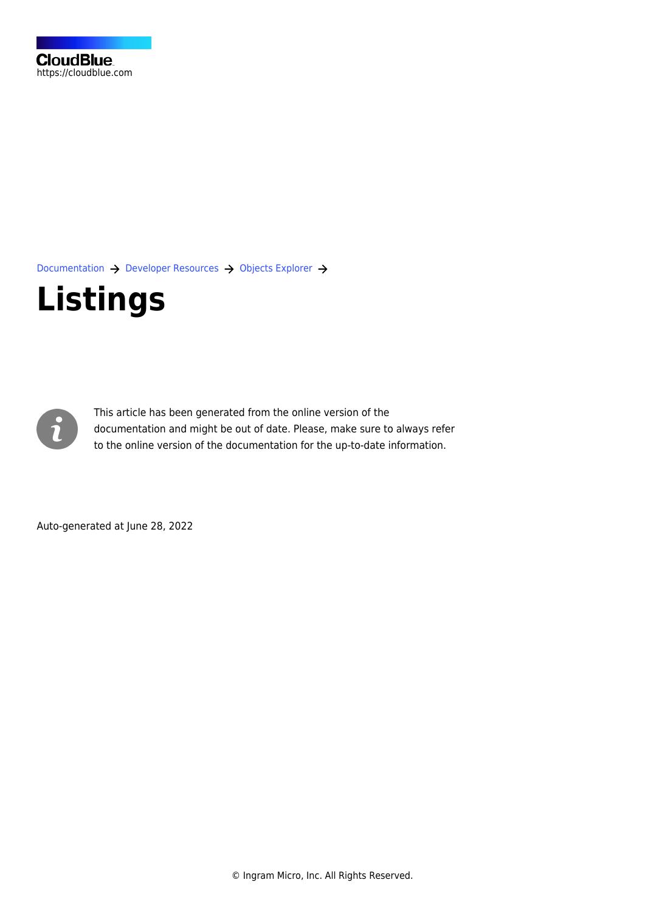[Documentation](https://connect.cloudblue.com/documentation)  $\rightarrow$  [Developer Resources](https://connect.cloudblue.com/community/developers/)  $\rightarrow$  [Objects Explorer](https://connect.cloudblue.com/community/developers/objects/)  $\rightarrow$ 

## **[Listings](https://connect.cloudblue.com/community/developers/objects/listings/)**



This article has been generated from the online version of the documentation and might be out of date. Please, make sure to always refer to the online version of the documentation for the up-to-date information.

Auto-generated at June 28, 2022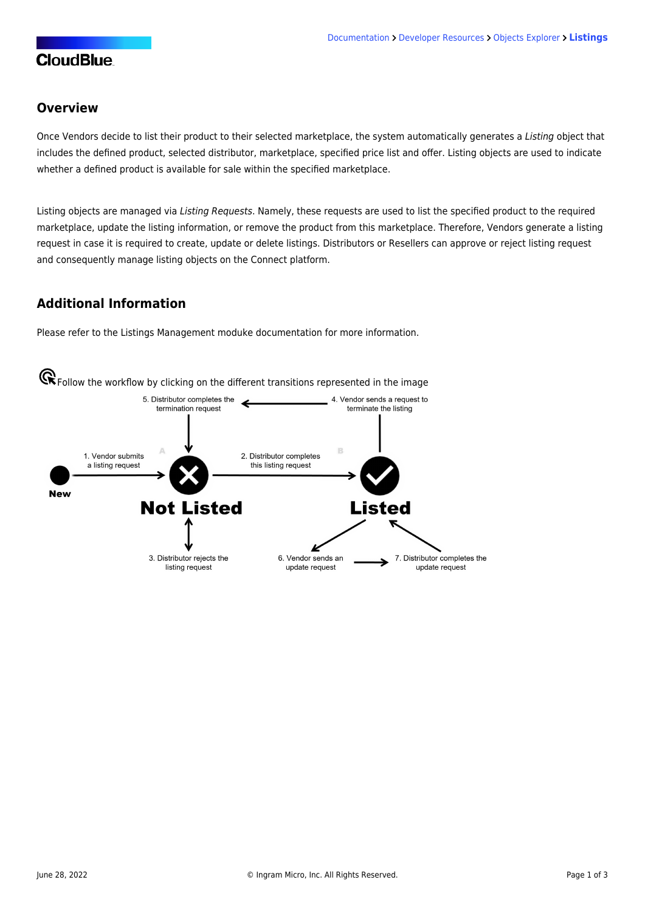## **CloudBlue**

## **Overview**

Once Vendors decide to list their product to their selected marketplace, the system automatically generates a Listing object that includes the defined product, selected distributor, marketplace, specified price list and offer. Listing objects are used to indicate whether a defined product is available for sale within the specified marketplace.

Listing objects are managed via Listing Requests. Namely, these requests are used to list the specified product to the required marketplace, update the listing information, or remove the product from this marketplace. Therefore, Vendors generate a listing request in case it is required to create, update or delete listings. Distributors or Resellers can approve or reject listing request and consequently manage listing objects on the Connect platform.

## **Additional Information**

Please refer to the [Listings Management moduke](https://connect.cloudblue.com/community/modules/listings/) documentation for more information.

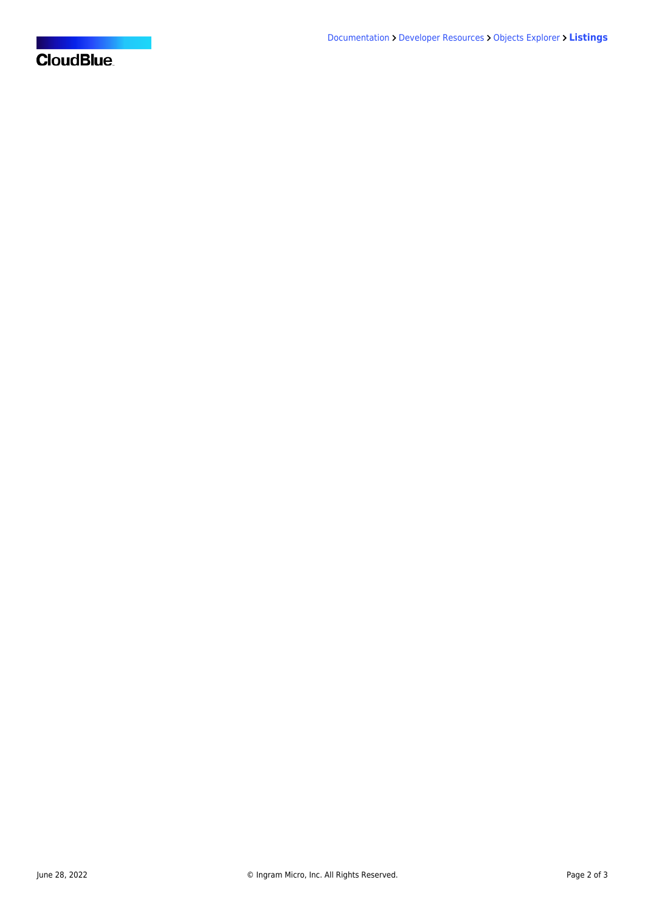**CloudBlue**